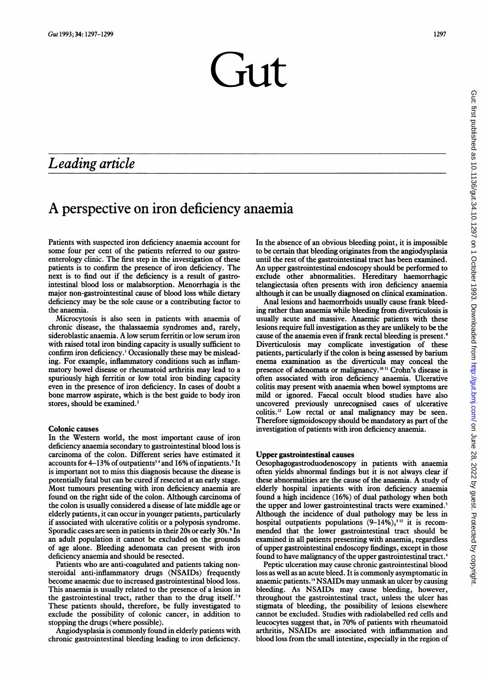# $Gut$

# Leading article

# A perspective on iron deficiency anaemia

Patients with suspected iron deficiency anaemia account for some four per cent of the patients referred to our gastroenterology clinic. The first step in the investigation of these patients is to confirm the presence of iron deficiency. The next is to find out if the deficiency is a result of gastrointestinal blood loss or malabsorption. Menorrhagia is the major non-gastrointestinal cause of blood loss while dietary deficiency may be the sole cause or a contributing factor to the anaemia.

Microcytosis is also seen in patients with anaemia of chronic disease, the thalassaemia syndromes and, rarely, sideroblastic anaemia. A low serum ferritin or low serum iron with raised total iron binding capacity is usually sufficient to confirm iron deficiency.' Occasionally these may be misleading. For example, inflammatory conditions such as inflammatory bowel disease or rheumatoid arthritis may lead to a spuriously high ferritin or low total iron binding capacity even in the presence of iron deficiency. In cases of doubt a bone marrow aspirate, which is the best guide to body iron stores, should be examined.'

#### Colonic causes

In the Western world, the most important cause of iron deficiency anaemia secondary to gastrointestinal blood loss is carcinoma of the colon. Different series have estimated it accounts for 4–13% of outpatients<sup>34</sup> and 16% of inpatients.<sup>5</sup> It is important not to miss this diagnosis because the disease is potentially fatal but can be cured if resected at an early stage. Most tumours presenting with iron deficiency anaemia are found on the right side of the colon. Although carcinoma of the colon is usually considered a disease of late middle age or elderly patients, it can occur in younger patients, particularly if associated with ulcerative colitis or a polyposis syndrome. Sporadic cases are seen in patients in their 20s or early 30s.<sup>6</sup> In an adult population it cannot be excluded on the grounds of age alone. Bleeding adenomata can present with iron deficiency anaemia and should be resected.

Patients who are anti-coagulated and patients taking nonsteroidal anti-inflammatory drugs (NSAIDs) frequently become anaemic due to increased gastrointestinal blood loss. This anaemia is usually related to the presence of a lesion in the gastrointestinal tract, rather than to the drug itself.<sup>78</sup> These patients should, therefore, be fully investigated to exclude the possibility of colonic cancer, in addition to stopping the drugs (where possible).

Angiodysplasia is commonly found in elderly patients with chronic gastrointestinal bleeding leading to iron deficiency. In the absence of an obvious bleeding point, it is impossible to be certain that bleeding originates from the angiodysplasia until the rest of the gastrointestinal tract has been examined. An upper gastrointestinal endoscopy should be performed to exclude other abnormalities. Hereditary haemorrhagic telangiectasia often presents with iron deficiency anaemia although it can be usually diagnosed on clinical examination.

Anal lesions and haemorrhoids usually cause frank bleeding rather than anaemia while bleeding from diverticulosis is usually acute and massive. Anaemic patients with these lesions require full investigation as they are unlikely to be the cause of the anaemia even if frank rectal bleeding is present.<sup>9</sup> Diverticulosis may complicate investigation of these patients, particularly if the colon is being assessed by barium enema examination as the diverticula may conceal the presence of adenomata or malignancy.<sup>1011</sup> Crohn's disease is often associated with iron deficiency anaemia. Ulcerative colitis may present with anaemia when bowel symptoms are mild or ignored. Faecal occult blood studies have also uncovered previously unrecognised cases of ulcerative colitis.<sup>12</sup> Low rectal or anal malignancy may be seen. Therefore sigmoidoscopy should be mandatory as part of the investigation of patients with iron deficiency anaemia.

## Upper gastrointestinal causes

Oesophagogastroduodenoscopy in patients with anaemia often yields abnormal findings but it is not always clear if these abnormalities are the cause of the anaemia. A study of elderly hospital inpatients with iron deficiency anaemia found a high incidence (16%) of dual pathology when both the upper and lower gastrointestinal tracts were examined.<sup>5</sup> Although the incidence of dual pathology may be less in hospital outpatients populations  $(9-14\sqrt{6})$ ,<sup>313</sup> it is recommended that the lower gastrointestinal tract should be examined in all patients presenting with anaemia, regardless of upper gastrointestinal endoscopy findings, except in those found to have malignancy of the upper gastrointestinal tract.<sup>4</sup>

Peptic ulceration may cause chronic gastrointestinal blood loss as well as an acute bleed. It is commonly asymptomatic in anaemic patients.'4 NSAIDs may unmask an ulcer by causing bleeding. As NSAIDs may cause bleeding, however, throughout the gastrointestinal tract, unless the ulcer has stigmata of bleeding, the possibility of lesions elsewhere cannot be excluded. Studies with radiolabelled red cells and leucocytes suggest that, in 70% of patients with rheumatoid arthritis, NSAIDs are associated with inflammation and blood loss from the small intestine, especially in the region of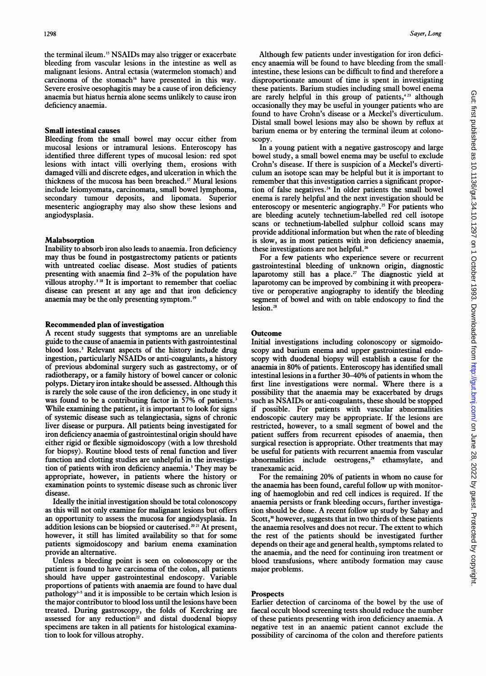the terminal ileum.'5 NSAIDs may also trigger or exacerbate bleeding from vascular lesions in the intestine as well as malignant lesions. Antral ectasia (watermelon stomach) and carcinoma of the stomach'6 have presented in this way. Severe erosive oesophagitis may be a cause of iron deficiency anaemia but hiatus hernia alone seems unlikely to cause iron deficiency anaemia.

#### Small intestinal causes

Bleeding from the small bowel may occur either from mucosal lesions or intramural lesions. Enteroscopy has identified three different types of mucosal lesion: red spot lesions with intact villi overlying them, erosions with damaged villi and discrete edges, and ulceration in which the thickness of the mucosa has been breached.'7 Mural lesions include leiomyomata, carcinomata, small bowel lymphoma, secondary tumour deposits, and lipomata. Superior mesenteric angiography may also show these lesions and angiodysplasia.

## Malabsorption

Inability to absorb iron also leads to anaemia. Iron deficiency may thus be found in postgastrectomy patients or patients with untreated coeliac disease. Most studies of patients presenting with anaemia find 2-3% of the population have villous atrophy.<sup>318</sup> It is important to remember that coeliac disease can present at any age and that iron deficiency anaemia may be the only presenting symptom. <sup>19</sup>

#### Recommended plan of investigation

A recent study suggests that symptoms are an unreliable guide to the cause of anaemia in patients with gastrointestinal blood loss.<sup>3</sup> Relevant aspects of the history include drug ingestion, particularly NSAIDs or anti-coagulants, a history of previous abdominal surgery such as gastrectomy, or of radiotherapy, or a family history of bowel cancer or colonic polyps. Dietary iron intake should be assessed. Although this is rarely the sole cause of the iron deficiency, in one study it was found to be a contributing factor in 57% of patients.<sup>3</sup> While examining the patient, it is important to look for signs of systemic disease such as telangiectasia, signs of chronic liver disease or purpura. All patients being investigated for iron deficiency anaemia of gastrointestinal origin should have either rigid or flexible sigmoidoscopy (with a low threshold for biopsy). Routine blood tests of renal function and liver function and clotting studies are unhelpful in the investigation of patients with iron deficiency anaemia.<sup>3</sup> They may be appropriate, however, in patients where the history or examination points to systemic disease such as chronic liver disease.

Ideally the initial investigation should be total colonoscopy as this will not only examine for malignant lesions but offers an opportunity to assess the mucosa for angiodysplasia. In addition lesions can be biopsied or cauterised.<sup>20 21</sup> At present, however, it still has limited availability so that for some patients sigmoidoscopy and barium enema examination provide an alternative.

Unless a bleeding point is seen on colonoscopy or the patient is found to have carcinoma of the colon, all patients should have upper gastrointestinal endoscopy. Variable proportions of patients with anaemia are found to have dual pathology<sup>3-5</sup> and it is impossible to be certain which lesion is the major contributor to blood loss until the lesions have been treated. During gastroscopy, the folds of Kerckring are assessed for any reduction<sup>22</sup> and distal duodenal biopsy specimens are taken in all patients for histological examination to look for villous atrophy.

Although few patients under investigation for iron deficiency anaemia will be found to have bleeding from the small intestine, these lesions can be difficult to find and therefore a disproportionate amount of time is spent in investigating these patients. Barium studies including small bowel enema are rarely helpful in this group of patients, $423$  although occasionally they may be useful in younger patients who are found to have Crohn's disease or a Meckel's diverticulum. Distal small bowel lesions may also be shown by reflux at barium enema or by entering the terminal ileum at colonoscopy.

In a young patient with a negative gastroscopy and large bowel study, a small bowel enema may be useful to exclude Crohn's disease. If there is suspicion of a Meckel's diverticulum an isotope scan may be helpful but it is important to remember that this investigation carries a significant proportion of false negatives.<sup>24</sup> In older patients the small bowel enema is rarely helpful and the next investigation should be enteroscopy or mesenteric angiography.<sup>25</sup> For patients who are bleeding acutely technetium-labelled red cell isotope scans or technetium-labelled sulphur colloid scans may provide additional information but when the rate of bleeding is slow, as in most patients with iron deficiency anaemia, these investigations are not helpful.<sup>26</sup>

For a few patients who experience severe or recurrent gastrointestinal bleeding of unknown origin, diagnostic laparotomy still has a place.<sup>27</sup> The diagnostic yield at laparotomy can be improved by combining it with preoperative or peroperative angiography to identify the bleeding segment of bowel and with on table endoscopy to find the lesion.<sup>28</sup>

#### **Outcome**

Initial investigations including colonoscopy or sigmoidoscopy and barium enema and upper gastrointestinal endoscopy with duodenal biopsy will establish a cause for the anaemia in 80% of patients. Enteroscopy has identified small intestinal lesions in <sup>a</sup> further 30-40% of patients in whom the first line investigations were normal. Where there is a possibility that the anaemia may be exacerbated by drugs such as NSAIDs or anti-coagulants, these should be stopped if possible. For patients with vascular abnormalities endoscopic cautery may be appropriate. If the lesions are restricted, however, to a small segment of bowel and the patient suffers from recurrent episodes of anaemia, then surgical resection is appropriate. Other treatments that may be useful for patients with recurrent anaemia from vascular abnormalities include oestrogens, $2^9$  ethamsylate, and tranexamic acid.

For the remaining 20% of patients in whom no cause for the anaemia has been found, careful follow up with monitoring of haemoglobin and red cell indices is required. If the anaemia persists or frank bleeding occurs, further investigation should be done. A recent follow up study by Sahay and Scott, $30$  however, suggests that in two thirds of these patients the anaemia resolves and does not recur. The extent to which the rest of the patients should be investigated further depends on their age and general health, symptoms related to the anaemia, and the need for continuing iron treatment or blood transfusions, where antibody formation may cause major problems.

### Prospects

Earlier detection of carcinoma of the bowel by the use of faecal occult blood screening tests should reduce the number of these patients presenting with iron deficiency anaemia. A negative test in an anaemic patient cannot exclude the possibility of carcinoma of the colon and therefore patients